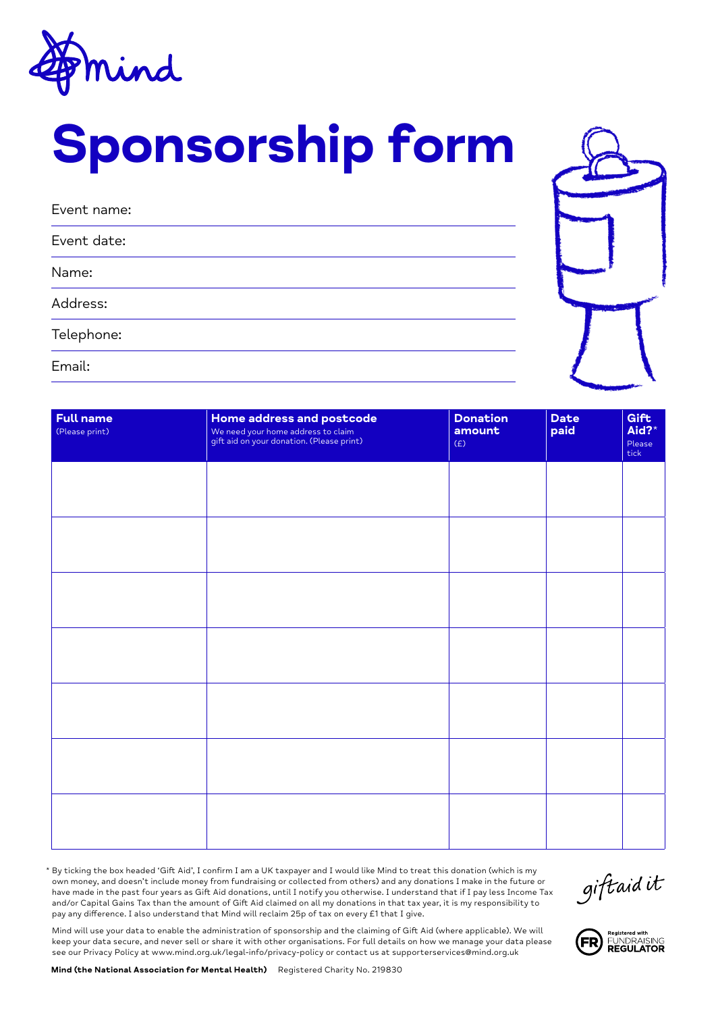

# Sponsorship form

| Event name: |
|-------------|
| Event date: |
| Name:       |
| Address:    |
| Telephone:  |
| Email:      |



| <b>Full name</b><br>(Please print) | Home address and postcode<br>We need your home address to claim<br>gift aid on your donation. (Please print) | <b>Donation</b><br>amount<br>(E) | <b>Date</b><br>paid | Gift<br>Aid?*<br>Please<br>tick |
|------------------------------------|--------------------------------------------------------------------------------------------------------------|----------------------------------|---------------------|---------------------------------|
|                                    |                                                                                                              |                                  |                     |                                 |
|                                    |                                                                                                              |                                  |                     |                                 |
|                                    |                                                                                                              |                                  |                     |                                 |
|                                    |                                                                                                              |                                  |                     |                                 |
|                                    |                                                                                                              |                                  |                     |                                 |
|                                    |                                                                                                              |                                  |                     |                                 |
|                                    |                                                                                                              |                                  |                     |                                 |

\* By ticking the box headed 'Gift Aid', I confirm I am a UK taxpayer and I would like Mind to treat this donation (which is my own money, and doesn't include money from fundraising or collected from others) and any donations I make in the future or have made in the past four years as Gift Aid donations, until I notify you otherwise. I understand that if I pay less Income Tax and/or Capital Gains Tax than the amount of Gift Aid claimed on all my donations in that tax year, it is my responsibility to pay any difference. I also understand that Mind will reclaim 25p of tax on every £1 that I give.

giftaidit

FR

Registered with<br>FUNDRAISING<br>**REGULATOR** 

Mind will use your data to enable the administration of sponsorship and the claiming of Gift Aid (where applicable). We will keep your data secure, and never sell or share it with other organisations. For full details on how we manage your data please see our Privacy Policy at www.mind.org.uk/legal-info/privacy-policy or contact us at supporterservices@mind.org.uk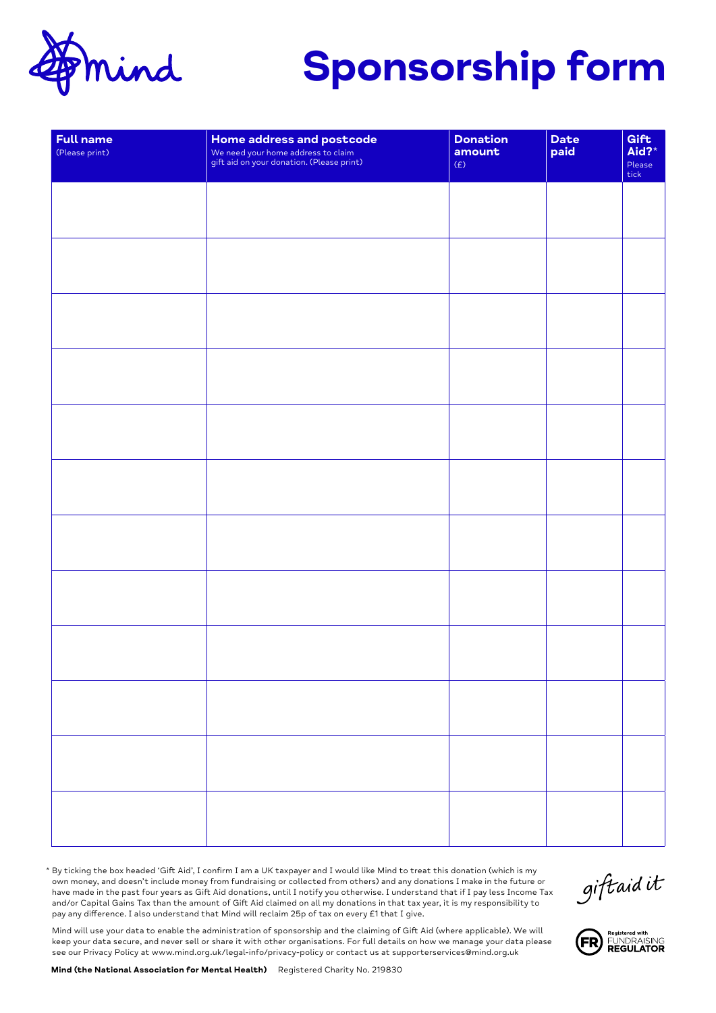

## Sponsorship form

| <b>Full name</b><br>(Please print) | Home address and postcode<br>We need your home address to claim<br>gift aid on your donation. (Please print) | <b>Donation</b><br>amount<br>(E) | Date<br>paid | Gift<br>Aid?*<br>Please<br>tick |
|------------------------------------|--------------------------------------------------------------------------------------------------------------|----------------------------------|--------------|---------------------------------|
|                                    |                                                                                                              |                                  |              |                                 |
|                                    |                                                                                                              |                                  |              |                                 |
|                                    |                                                                                                              |                                  |              |                                 |
|                                    |                                                                                                              |                                  |              |                                 |
|                                    |                                                                                                              |                                  |              |                                 |
|                                    |                                                                                                              |                                  |              |                                 |
|                                    |                                                                                                              |                                  |              |                                 |
|                                    |                                                                                                              |                                  |              |                                 |
|                                    |                                                                                                              |                                  |              |                                 |
|                                    |                                                                                                              |                                  |              |                                 |
|                                    |                                                                                                              |                                  |              |                                 |
|                                    |                                                                                                              |                                  |              |                                 |

\* By ticking the box headed 'Gift Aid', I confirm I am a UK taxpayer and I would like Mind to treat this donation (which is my own money, and doesn't include money from fundraising or collected from others) and any donations I make in the future or have made in the past four years as Gift Aid donations, until I notify you otherwise. I understand that if I pay less Income Tax and/or Capital Gains Tax than the amount of Gift Aid claimed on all my donations in that tax year, it is my responsibility to pay any difference. I also understand that Mind will reclaim 25p of tax on every £1 that I give.

giftaidit

Mind will use your data to enable the administration of sponsorship and the claiming of Gift Aid (where applicable). We will keep your data secure, and never sell or share it with other organisations. For full details on how we manage your data please see our Privacy Policy at www.mind.org.uk/legal-info/privacy-policy or contact us at supporterservices@mind.org.uk